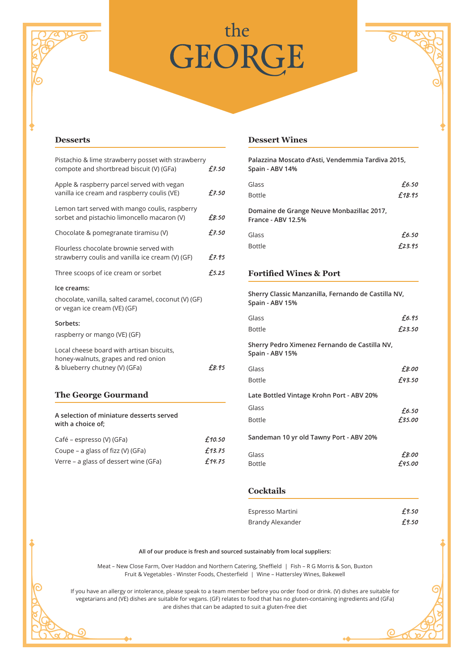# the the<br>GEORGE



#### **Desserts**

| Café - espresso (V) (GFa)                                                                                         | £10.50 |
|-------------------------------------------------------------------------------------------------------------------|--------|
| A selection of miniature desserts served<br>with a choice of;                                                     |        |
| <b>The George Gourmand</b>                                                                                        |        |
| Local cheese board with artisan biscuits,<br>honey-walnuts, grapes and red onion<br>& blueberry chutney (V) (GFa) | £8.95  |
| Sorbets:<br>raspberry or mango (VE) (GF)                                                                          |        |
| Ice creams:<br>chocolate, vanilla, salted caramel, coconut (V) (GF)<br>or vegan ice cream (VE) (GF)               |        |
| Three scoops of ice cream or sorbet                                                                               | £5.25  |
| Flourless chocolate brownie served with<br>strawberry coulis and vanilla ice cream (V) (GF)                       | £7.95  |
| Chocolate & pomegranate tiramisu (V)                                                                              | £7.50  |
| Lemon tart served with mango coulis, raspberry<br>sorbet and pistachio limoncello macaron (V)                     | £8.50  |
| Apple & raspberry parcel served with vegan<br>vanilla ice cream and raspberry coulis (VE)                         | £7.50  |
| Pistachio & lime strawberry posset with strawberry<br>compote and shortbread biscuit (V) (GFa)                    | f.7.50 |

# Coupe – a glass of fizz (V) (GFa)  $f$ 13.75

Verre – a glass of dessert wine (GFa)  $£74.75$ 

G

### **Dessert Wines**

| Palazzina Moscato d'Asti, Vendemmia Tardiva 2015,<br>Spain - ABV 14%   |        |
|------------------------------------------------------------------------|--------|
| Glass                                                                  | £6.50  |
| <b>Bottle</b>                                                          | £18.95 |
| Domaine de Grange Neuve Monbazillac 2017,<br><b>France - ABV 12.5%</b> |        |
| Glass                                                                  | £6.50  |
| <b>Bottle</b>                                                          | £23.95 |
|                                                                        |        |

## **Fortified Wines & Port**

**Sherry Classic Manzanilla, Fernando de Castilla NV, Spain - ABV 15%**

| Glass                                                            | £6.95  |
|------------------------------------------------------------------|--------|
| <b>Bottle</b>                                                    | £23.50 |
| Sherry Pedro Ximenez Fernando de Castilla NV,<br>Spain - ABV 15% |        |
| Glass                                                            | £8.00  |
| <b>Bottle</b>                                                    | £43.50 |
| Late Bottled Vintage Krohn Port - ABV 20%                        |        |
| Glass                                                            | £6.50  |
| <b>Bottle</b>                                                    | £35.00 |
| Sandeman 10 yr old Tawny Port - ABV 20%                          |        |
| Glass                                                            | £8.00  |
| <b>Bottle</b>                                                    | £45.00 |

#### **Cocktails**

| Espresso Martini | £9.50 |
|------------------|-------|
| Brandy Alexander | £9.50 |

 $\odot$ 

#### **All of our produce is fresh and sourced sustainably from local suppliers:**

Meat – New Close Farm, Over Haddon and Northern Catering, Sheffield | Fish – R G Morris & Son, Buxton Fruit & Vegetables - Winster Foods, Chesterfield | Wine – Hattersley Wines, Bakewell

If you have an allergy or intolerance, please speak to a team member before you order food or drink. (V) dishes are suitable for vegetarians and (VE) dishes are suitable for vegans. (GF) relates to food that has no gluten-containing ingredients and (GFa) are dishes that can be adapted to suit a gluten-free diet